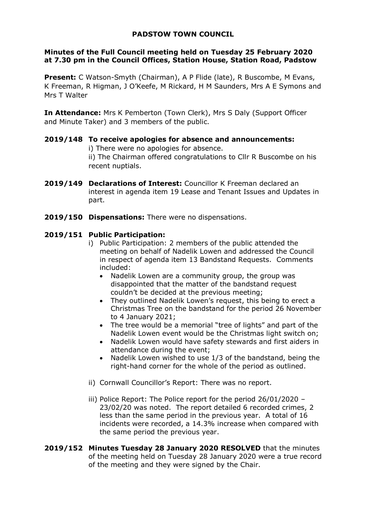# **PADSTOW TOWN COUNCIL**

### **Minutes of the Full Council meeting held on Tuesday 25 February 2020 at 7.30 pm in the Council Offices, Station House, Station Road, Padstow**

**Present:** C Watson-Smyth (Chairman), A P Flide (late), R Buscombe, M Evans, K Freeman, R Higman, J O'Keefe, M Rickard, H M Saunders, Mrs A E Symons and Mrs T Walter

**In Attendance:** Mrs K Pemberton (Town Clerk), Mrs S Daly (Support Officer and Minute Taker) and 3 members of the public.

## **2019/148 To receive apologies for absence and announcements:**

i) There were no apologies for absence.

ii) The Chairman offered congratulations to Cllr R Buscombe on his recent nuptials.

- **2019/149 Declarations of Interest:** Councillor K Freeman declared an interest in agenda item 19 Lease and Tenant Issues and Updates in part.
- **2019/150 Dispensations:** There were no dispensations.

## **2019/151 Public Participation:**

- i) Public Participation: 2 members of the public attended the meeting on behalf of Nadelik Lowen and addressed the Council in respect of agenda item 13 Bandstand Requests. Comments included:
	- Nadelik Lowen are a community group, the group was disappointed that the matter of the bandstand request couldn't be decided at the previous meeting;
	- They outlined Nadelik Lowen's request, this being to erect a Christmas Tree on the bandstand for the period 26 November to 4 January 2021;
	- The tree would be a memorial "tree of lights" and part of the Nadelik Lowen event would be the Christmas light switch on;
	- Nadelik Lowen would have safety stewards and first aiders in attendance during the event;
	- Nadelik Lowen wished to use 1/3 of the bandstand, being the right-hand corner for the whole of the period as outlined.
- ii) Cornwall Councillor's Report: There was no report.
- iii) Police Report: The Police report for the period 26/01/2020 23/02/20 was noted. The report detailed 6 recorded crimes, 2 less than the same period in the previous year. A total of 16 incidents were recorded, a 14.3% increase when compared with the same period the previous year.
- **2019/152 Minutes Tuesday 28 January 2020 RESOLVED** that the minutes of the meeting held on Tuesday 28 January 2020 were a true record of the meeting and they were signed by the Chair.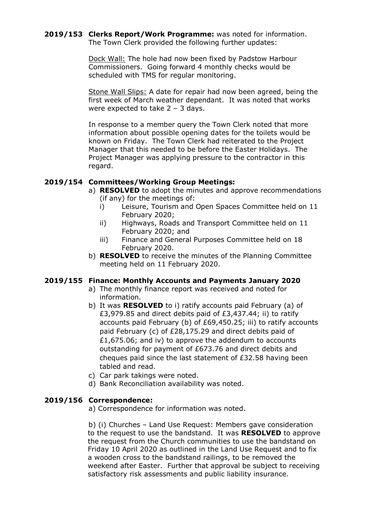#### **2019/153 Clerks Report/Work Programme:** was noted for information. The Town Clerk provided the following further updates:

Dock Wall: The hole had now been fixed by Padstow Harbour Commissioners. Going forward 4 monthly checks would be scheduled with TMS for regular monitoring.

Stone Wall Slips: A date for repair had now been agreed, being the first week of March weather dependant. It was noted that works were expected to take  $2 - 3$  days.

In response to a member query the Town Clerk noted that more information about possible opening dates for the toilets would be known on Friday. The Town Clerk had reiterated to the Project Manager that this needed to be before the Easter Holidays. The Project Manager was applying pressure to the contractor in this regard.

## **2019/154 Committees/Working Group Meetings:**

- a) **RESOLVED** to adopt the minutes and approve recommendations (if any) for the meetings of:
	- i) Leisure, Tourism and Open Spaces Committee held on 11 February 2020;
	- ii) Highways, Roads and Transport Committee held on 11 February 2020; and
	- iii) Finance and General Purposes Committee held on 18 February 2020.
- b) **RESOLVED** to receive the minutes of the Planning Committee meeting held on 11 February 2020.

## **2019/155 Finance: Monthly Accounts and Payments January 2020**

- a) The monthly finance report was received and noted for information.
- b) It was **RESOLVED** to i) ratify accounts paid February (a) of £3,979.85 and direct debits paid of £3,437.44; ii) to ratify accounts paid February (b) of £69,450.25; iii) to ratify accounts paid February (c) of £28,175.29 and direct debits paid of £1,675.06; and iv) to approve the addendum to accounts outstanding for payment of £673.76 and direct debits and cheques paid since the last statement of £32.58 having been tabled and read.
- c) Car park takings were noted.
- d) Bank Reconciliation availability was noted.

#### **2019/156 Correspondence:**

a) Correspondence for information was noted.

b) (i) Churches – Land Use Request: Members gave consideration to the request to use the bandstand. It was **RESOLVED** to approve the request from the Church communities to use the bandstand on Friday 10 April 2020 as outlined in the Land Use Request and to fix a wooden cross to the bandstand railings, to be removed the weekend after Easter. Further that approval be subject to receiving satisfactory risk assessments and public liability insurance.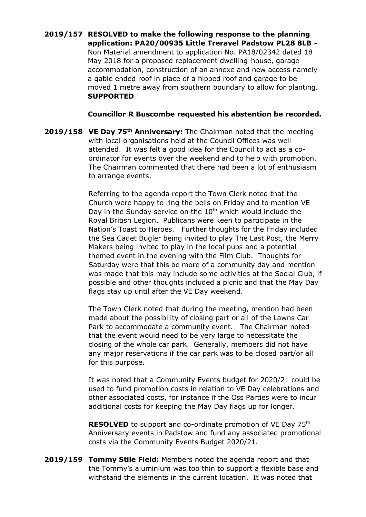## **2019/157 RESOLVED to make the following response to the planning application: PA20/00935 Little Treravel Padstow PL28 8LB -** Non Material amendment to application No. PA18/02342 dated 18 May 2018 for a proposed replacement dwelling-house, garage accommodation, construction of an annexe and new access namely a gable ended roof in place of a hipped roof and garage to be moved 1 metre away from southern boundary to allow for planting. **SUPPORTED**

#### **Councillor R Buscombe requested his abstention be recorded.**

**2019/158 VE Day 75th Anniversary:** The Chairman noted that the meeting with local organisations held at the Council Offices was well attended. It was felt a good idea for the Council to act as a coordinator for events over the weekend and to help with promotion. The Chairman commented that there had been a lot of enthusiasm to arrange events.

> Referring to the agenda report the Town Clerk noted that the Church were happy to ring the bells on Friday and to mention VE Day in the Sunday service on the  $10<sup>th</sup>$  which would include the Royal British Legion. Publicans were keen to participate in the Nation's Toast to Heroes. Further thoughts for the Friday included the Sea Cadet Bugler being invited to play The Last Post, the Merry Makers being invited to play in the local pubs and a potential themed event in the evening with the Film Club. Thoughts for Saturday were that this be more of a community day and mention was made that this may include some activities at the Social Club, if possible and other thoughts included a picnic and that the May Day flags stay up until after the VE Day weekend.

The Town Clerk noted that during the meeting, mention had been made about the possibility of closing part or all of the Lawns Car Park to accommodate a community event. The Chairman noted that the event would need to be very large to necessitate the closing of the whole car park. Generally, members did not have any major reservations if the car park was to be closed part/or all for this purpose.

It was noted that a Community Events budget for 2020/21 could be used to fund promotion costs in relation to VE Day celebrations and other associated costs, for instance if the Oss Parties were to incur additional costs for keeping the May Day flags up for longer.

**RESOLVED** to support and co-ordinate promotion of VE Day 75<sup>th</sup> Anniversary events in Padstow and fund any associated promotional costs via the Community Events Budget 2020/21.

**2019/159 Tommy Stile Field:** Members noted the agenda report and that the Tommy's aluminium was too thin to support a flexible base and withstand the elements in the current location. It was noted that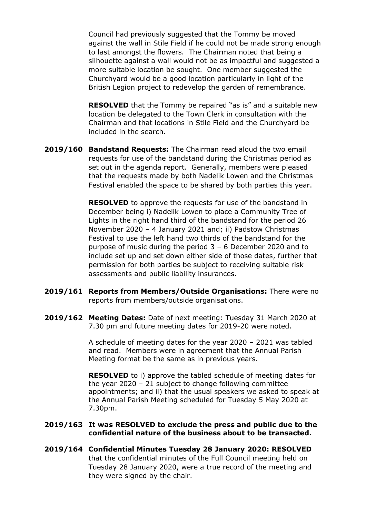Council had previously suggested that the Tommy be moved against the wall in Stile Field if he could not be made strong enough to last amongst the flowers. The Chairman noted that being a silhouette against a wall would not be as impactful and suggested a more suitable location be sought. One member suggested the Churchyard would be a good location particularly in light of the British Legion project to redevelop the garden of remembrance.

**RESOLVED** that the Tommy be repaired "as is" and a suitable new location be delegated to the Town Clerk in consultation with the Chairman and that locations in Stile Field and the Churchyard be included in the search.

**2019/160 Bandstand Requests:** The Chairman read aloud the two email requests for use of the bandstand during the Christmas period as set out in the agenda report. Generally, members were pleased that the requests made by both Nadelik Lowen and the Christmas Festival enabled the space to be shared by both parties this year.

> **RESOLVED** to approve the requests for use of the bandstand in December being i) Nadelik Lowen to place a Community Tree of Lights in the right hand third of the bandstand for the period 26 November 2020 – 4 January 2021 and; ii) Padstow Christmas Festival to use the left hand two thirds of the bandstand for the purpose of music during the period 3 – 6 December 2020 and to include set up and set down either side of those dates, further that permission for both parties be subject to receiving suitable risk assessments and public liability insurances.

- **2019/161 Reports from Members/Outside Organisations:** There were no reports from members/outside organisations.
- **2019/162 Meeting Dates:** Date of next meeting: Tuesday 31 March 2020 at 7.30 pm and future meeting dates for 2019-20 were noted.

A schedule of meeting dates for the year 2020 – 2021 was tabled and read. Members were in agreement that the Annual Parish Meeting format be the same as in previous years.

**RESOLVED** to i) approve the tabled schedule of meeting dates for the year 2020 – 21 subject to change following committee appointments; and ii) that the usual speakers we asked to speak at the Annual Parish Meeting scheduled for Tuesday 5 May 2020 at 7.30pm.

#### **2019/163 It was RESOLVED to exclude the press and public due to the confidential nature of the business about to be transacted.**

**2019/164 Confidential Minutes Tuesday 28 January 2020: RESOLVED**  that the confidential minutes of the Full Council meeting held on Tuesday 28 January 2020, were a true record of the meeting and they were signed by the chair.